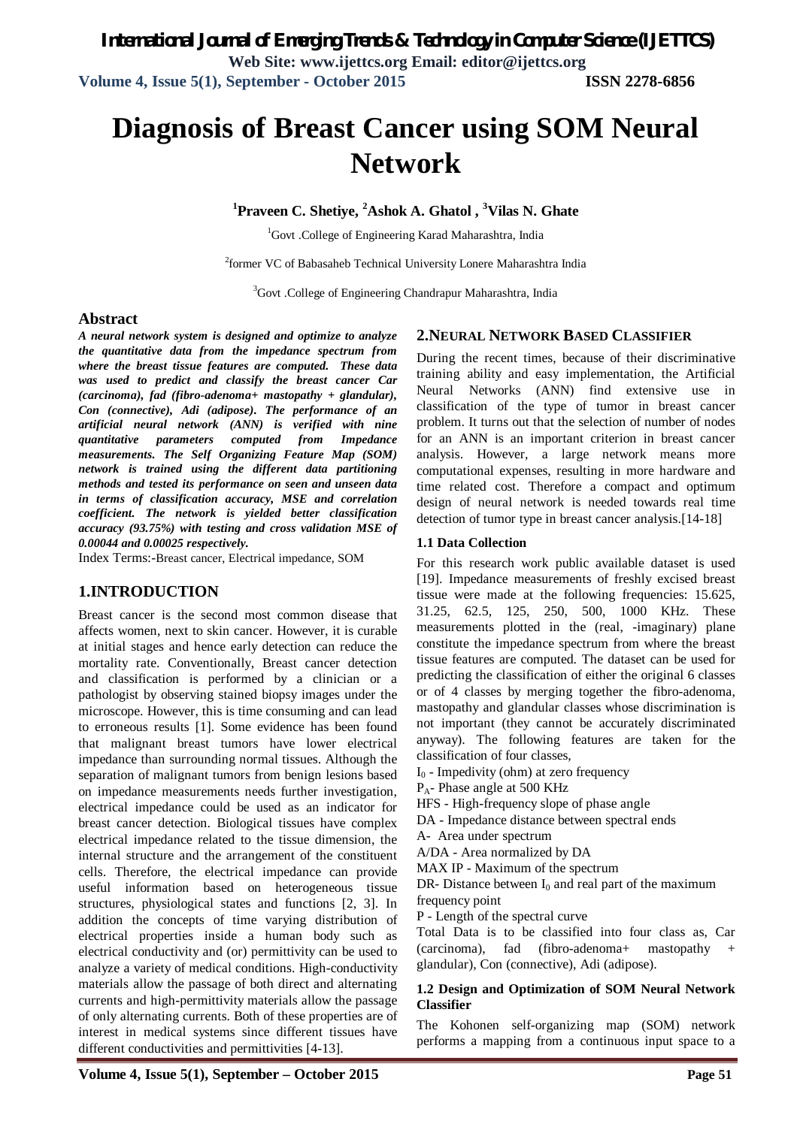# **Diagnosis of Breast Cancer using SOM Neural Network**

**<sup>1</sup>Praveen C. Shetiye, <sup>2</sup>Ashok A. Ghatol , <sup>3</sup>Vilas N. Ghate**

<sup>1</sup>Govt .College of Engineering Karad Maharashtra, India

<sup>2</sup>former VC of Babasaheb Technical University Lonere Maharashtra India

<sup>3</sup>Govt .College of Engineering Chandrapur Maharashtra, India

# **Abstract**

*A neural network system is designed and optimize to analyze the quantitative data from the impedance spectrum from where the breast tissue features are computed. These data was used to predict and classify the breast cancer Car (carcinoma), fad (fibro-adenoma+ mastopathy + glandular), Con (connective), Adi (adipose). The performance of an artificial neural network (ANN) is verified with nine quantitative parameters computed from Impedance measurements. The Self Organizing Feature Map (SOM) network is trained using the different data partitioning methods and tested its performance on seen and unseen data in terms of classification accuracy, MSE and correlation coefficient. The network is yielded better classification accuracy (93.75%) with testing and cross validation MSE of 0.00044 and 0.00025 respectively.*

Index Terms:-Breast cancer, Electrical impedance, SOM

# **1.INTRODUCTION**

Breast cancer is the second most common disease that affects women, next to skin cancer. However, it is curable at initial stages and hence early detection can reduce the mortality rate. Conventionally, Breast cancer detection and classification is performed by a clinician or a pathologist by observing stained biopsy images under the microscope. However, this is time consuming and can lead to erroneous results [1]. Some evidence has been found that malignant breast tumors have lower electrical impedance than surrounding normal tissues. Although the separation of malignant tumors from benign lesions based on impedance measurements needs further investigation, electrical impedance could be used as an indicator for breast cancer detection. Biological tissues have complex electrical impedance related to the tissue dimension, the internal structure and the arrangement of the constituent cells. Therefore, the electrical impedance can provide useful information based on heterogeneous tissue structures, physiological states and functions [2, 3]. In addition the concepts of time varying distribution of electrical properties inside a human body such as electrical conductivity and (or) permittivity can be used to analyze a variety of medical conditions. High-conductivity materials allow the passage of both direct and alternating currents and high-permittivity materials allow the passage of only alternating currents. Both of these properties are of interest in medical systems since different tissues have different conductivities and permittivities [4-13].

### **2.NEURAL NETWORK BASED CLASSIFIER**

During the recent times, because of their discriminative training ability and easy implementation, the Artificial Neural Networks (ANN) find extensive use in classification of the type of tumor in breast cancer problem. It turns out that the selection of number of nodes for an ANN is an important criterion in breast cancer analysis. However, a large network means more computational expenses, resulting in more hardware and time related cost. Therefore a compact and optimum design of neural network is needed towards real time detection of tumor type in breast cancer analysis.[14-18]

#### **1.1 Data Collection**

For this research work public available dataset is used [19]. Impedance measurements of freshly excised breast tissue were made at the following frequencies: 15.625, 31.25, 62.5, 125, 250, 500, 1000 KHz. These measurements plotted in the (real, -imaginary) plane constitute the impedance spectrum from where the breast tissue features are computed. The dataset can be used for predicting the classification of either the original 6 classes or of 4 classes by merging together the fibro-adenoma, mastopathy and glandular classes whose discrimination is not important (they cannot be accurately discriminated anyway). The following features are taken for the classification of four classes,

 $I<sub>0</sub>$  - Impedivity (ohm) at zero frequency

PA- Phase angle at 500 KHz

HFS - High-frequency slope of phase angle

DA - Impedance distance between spectral ends

A- Area under spectrum

A/DA - Area normalized by DA

MAX IP - Maximum of the spectrum

DR- Distance between  $I_0$  and real part of the maximum frequency point

P - Length of the spectral curve

Total Data is to be classified into four class as, Car (carcinoma), fad (fibro-adenoma+ mastopathy + glandular), Con (connective), Adi (adipose).

### **1.2 Design and Optimization of SOM Neural Network Classifier**

The Kohonen self-organizing map (SOM) network performs a mapping from a continuous input space to a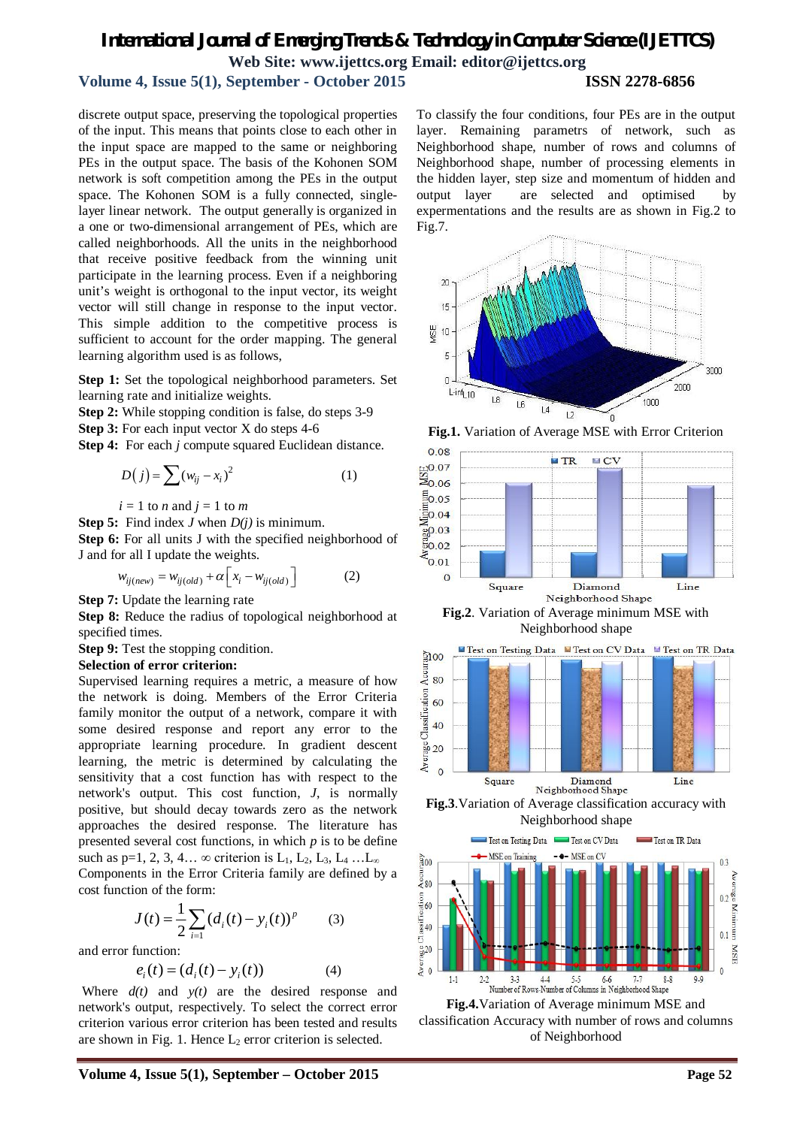# *International Journal of Emerging Trends & Technology in Computer Science (IJETTCS)* **Web Site: www.ijettcs.org Email: editor@ijettcs.org Volume 4, Issue 5(1), September - October 2015 ISSN 2278-6856**

discrete output space, preserving the topological properties of the input. This means that points close to each other in the input space are mapped to the same or neighboring PEs in the output space. The basis of the Kohonen SOM network is soft competition among the PEs in the output space. The Kohonen SOM is a fully connected, singlelayer linear network. The output generally is organized in a one or two-dimensional arrangement of PEs, which are called neighborhoods. All the units in the neighborhood that receive positive feedback from the winning unit participate in the learning process. Even if a neighboring unit's weight is orthogonal to the input vector, its weight vector will still change in response to the input vector. This simple addition to the competitive process is sufficient to account for the order mapping. The general learning algorithm used is as follows,

**Step 1:** Set the topological neighborhood parameters. Set learning rate and initialize weights.

**Step 2:** While stopping condition is false, do steps 3-9

**Step 3:** For each input vector X do steps 4-6

**Step 4:** For each *j* compute squared Euclidean distance.

$$
D(j) = \sum (w_{ij} - x_i)^2
$$
 (1)

$$
i = 1
$$
 to *n* and  $j = 1$  to *m*

**Step 5:** Find index *J* when *D(j)* is minimum.

**Step 6:** For all units J with the specified neighborhood of J and for all I update the weights.

$$
w_{ij(new)} = w_{ij(old)} + \alpha \left[ x_i - w_{ij(old)} \right]
$$
 (2)

**Step 7:** Update the learning rate

**Step 8:** Reduce the radius of topological neighborhood at specified times.

**Step 9:** Test the stopping condition.

#### **Selection of error criterion:**

Supervised learning requires a metric, a measure of how the network is doing. Members of the Error Criteria family monitor the output of a network, compare it with some desired response and report any error to the appropriate learning procedure. In gradient descent learning, the metric is determined by calculating the sensitivity that a cost function has with respect to the network's output. This cost function, *J*, is normally positive, but should decay towards zero as the network approaches the desired response. The literature has presented several cost functions, in which *p* is to be define such as p=1, 2, 3, 4…  $\infty$  criterion is L<sub>1</sub>, L<sub>2</sub>, L<sub>3</sub>, L<sub>4</sub> … L<sub>∞</sub> Components in the Error Criteria family are defined by a cost function of the form:

$$
J(t) = \frac{1}{2} \sum_{i=1} (d_i(t) - y_i(t))^p
$$
 (3)

and error function:

$$
e_i(t) = (d_i(t) - y_i(t))
$$
 (4)

Where *d(t)* and *y(t)* are the desired response and network's output, respectively. To select the correct error criterion various error criterion has been tested and results are shown in Fig. 1. Hence  $L_2$  error criterion is selected.

To classify the four conditions, four PEs are in the output layer. Remaining parametrs of network, such as Neighborhood shape, number of rows and columns of Neighborhood shape, number of processing elements in the hidden layer, step size and momentum of hidden and output layer are selected and optimised by expermentations and the results are as shown in Fig.2 to Fig.7.



**Fig.1.** Variation of Average MSE with Error Criterion





**Fig.3**.Variation of Average classification accuracy with Neighborhood shape



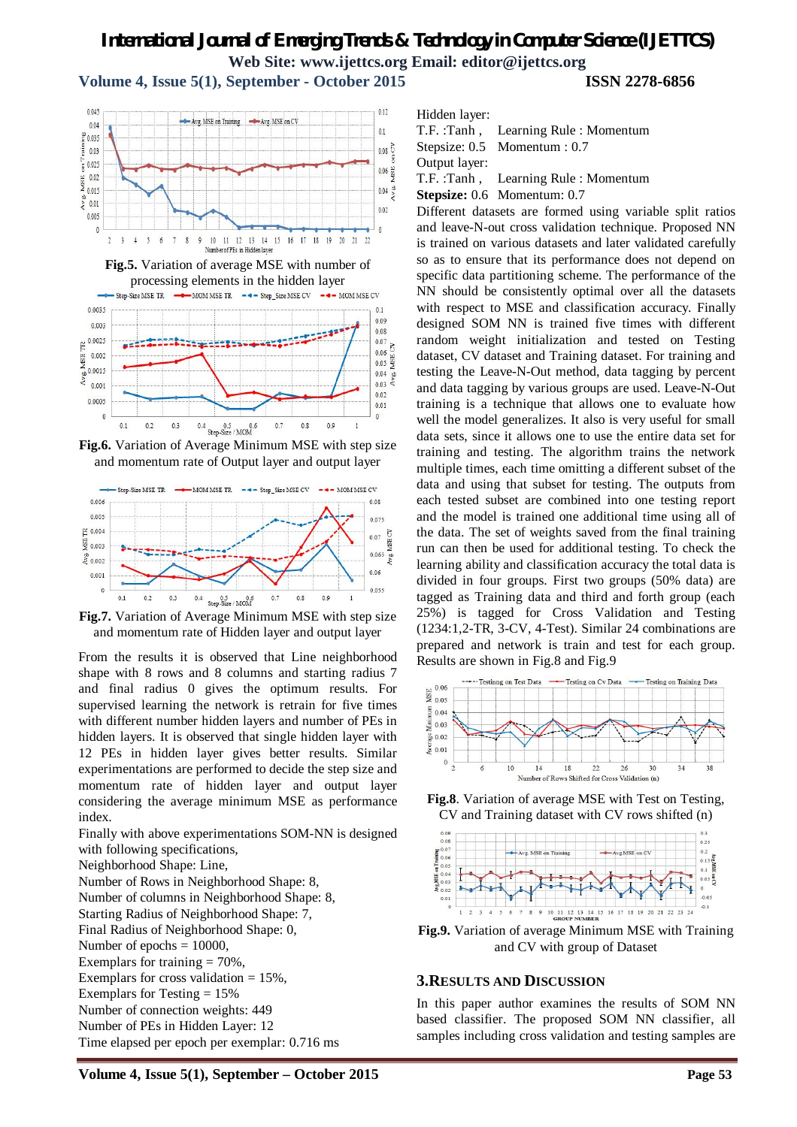# *International Journal of Emerging Trends & Technology in Computer Science (IJETTCS)* **Web Site: www.ijettcs.org Email: editor@ijettcs.org**

**Volume 4, Issue 5(1), September - October 2015 ISSN 2278-6856**







**Fig.6.** Variation of Average Minimum MSE with step size and momentum rate of Output layer and output layer



**Fig.7.** Variation of Average Minimum MSE with step size and momentum rate of Hidden layer and output layer

From the results it is observed that Line neighborhood shape with 8 rows and 8 columns and starting radius 7 and final radius 0 gives the optimum results. For supervised learning the network is retrain for five times with different number hidden layers and number of PEs in hidden layers. It is observed that single hidden layer with 12 PEs in hidden layer gives better results. Similar experimentations are performed to decide the step size and momentum rate of hidden layer and output layer considering the average minimum MSE as performance index.

Finally with above experimentations SOM-NN is designed with following specifications,

Neighborhood Shape: Line,

Number of Rows in Neighborhood Shape: 8, Number of columns in Neighborhood Shape: 8, Starting Radius of Neighborhood Shape: 7, Final Radius of Neighborhood Shape: 0, Number of epochs  $= 10000$ , Exemplars for training  $= 70\%$ , Exemplars for cross validation  $= 15\%$ , Exemplars for Testing = 15% Number of connection weights: 449 Number of PEs in Hidden Layer: 12 Time elapsed per epoch per exemplar: 0.716 ms Hidden layer:

```
T.F. :Tanh , Learning Rule : Momentum
```
Stepsize: 0.5 Momentum : 0.7

Output layer:

T.F. :Tanh , Learning Rule : Momentum

**Stepsize:** 0.6 Momentum: 0.7

Different datasets are formed using variable split ratios and leave-N-out cross validation technique. Proposed NN is trained on various datasets and later validated carefully so as to ensure that its performance does not depend on specific data partitioning scheme. The performance of the NN should be consistently optimal over all the datasets with respect to MSE and classification accuracy. Finally designed SOM NN is trained five times with different random weight initialization and tested on Testing dataset, CV dataset and Training dataset. For training and testing the Leave-N-Out method, data tagging by percent and data tagging by various groups are used. Leave-N-Out training is a technique that allows one to evaluate how well the model generalizes. It also is very useful for small data sets, since it allows one to use the entire data set for training and testing. The algorithm trains the network multiple times, each time omitting a different subset of the data and using that subset for testing. The outputs from each tested subset are combined into one testing report and the model is trained one additional time using all of the data. The set of weights saved from the final training run can then be used for additional testing. To check the learning ability and classification accuracy the total data is divided in four groups. First two groups (50% data) are tagged as Training data and third and forth group (each 25%) is tagged for Cross Validation and Testing (1234:1,2-TR, 3-CV, 4-Test). Similar 24 combinations are prepared and network is train and test for each group. Results are shown in Fig.8 and Fig.9



**Fig.8**. Variation of average MSE with Test on Testing, CV and Training dataset with CV rows shifted (n)



**Fig.9.** Variation of average Minimum MSE with Training and CV with group of Dataset

# **3.RESULTS AND DISCUSSION**

In this paper author examines the results of SOM NN based classifier. The proposed SOM NN classifier, all samples including cross validation and testing samples are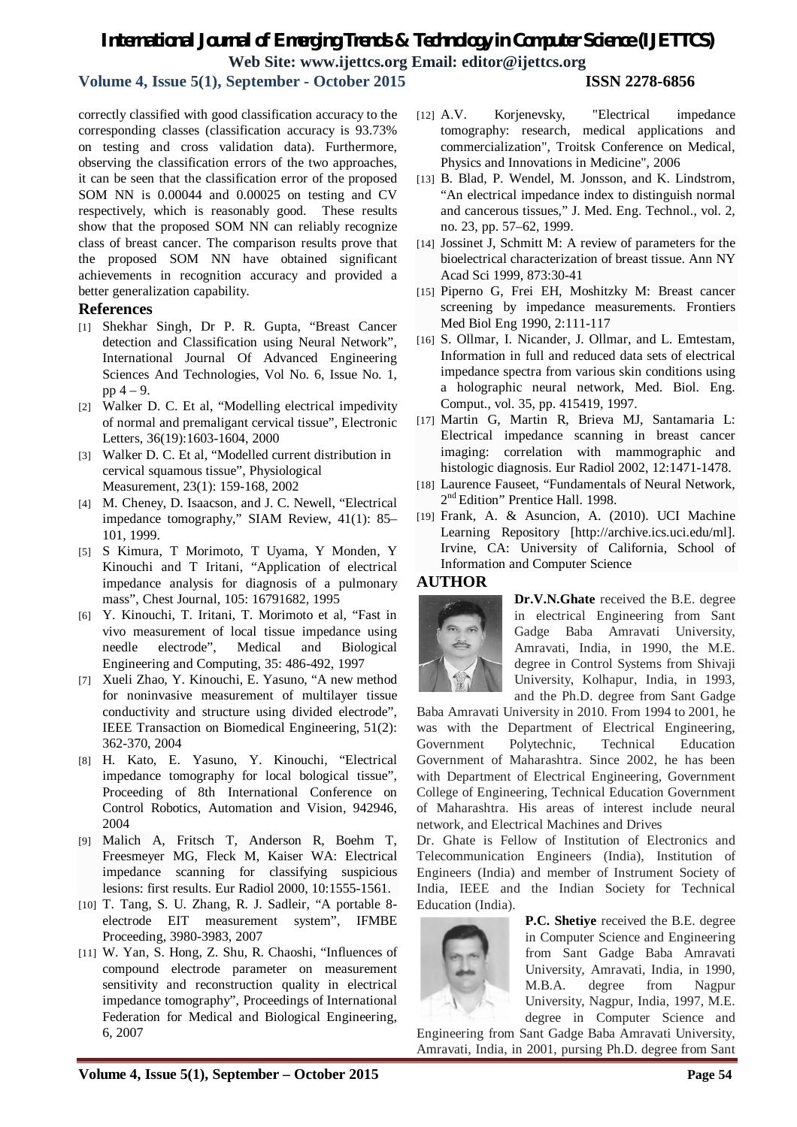# *International Journal of Emerging Trends & Technology in Computer Science (IJETTCS)* **Web Site: www.ijettcs.org Email: editor@ijettcs.org**

**Volume 4, Issue 5(1), September - October 2015 ISSN 2278-6856**

correctly classified with good classification accuracy to the corresponding classes (classification accuracy is 93.73% on testing and cross validation data). Furthermore, observing the classification errors of the two approaches, it can be seen that the classification error of the proposed SOM NN is 0.00044 and 0.00025 on testing and CV respectively, which is reasonably good. These results show that the proposed SOM NN can reliably recognize class of breast cancer. The comparison results prove that the proposed SOM NN have obtained significant achievements in recognition accuracy and provided a better generalization capability.

# **References**

- [1] Shekhar Singh, Dr P. R. Gupta, "Breast Cancer detection and Classification using Neural Network", International Journal Of Advanced Engineering Sciences And Technologies, Vol No. 6, Issue No. 1, pp 4 – 9.
- [2] Walker D. C. Et al, "Modelling electrical impedivity of normal and premaligant cervical tissue", Electronic Letters, 36(19):1603-1604, 2000
- [3] Walker D. C. Et al, "Modelled current distribution in cervical squamous tissue", Physiological Measurement, 23(1): 159-168, 2002
- [4] M. Cheney, D. Isaacson, and J. C. Newell, "Electrical impedance tomography," SIAM Review, 41(1): 85– 101, 1999.
- [5] S Kimura, T Morimoto, T Uyama, Y Monden, Y Kinouchi and T Iritani, "Application of electrical impedance analysis for diagnosis of a pulmonary mass", Chest Journal, 105: 16791682, 1995
- [6] Y. Kinouchi, T. Iritani, T. Morimoto et al, "Fast in vivo measurement of local tissue impedance using needle electrode", Medical and Biological Engineering and Computing, 35: 486-492, 1997
- [7] Xueli Zhao, Y. Kinouchi, E. Yasuno, "A new method for noninvasive measurement of multilayer tissue conductivity and structure using divided electrode", IEEE Transaction on Biomedical Engineering, 51(2): 362-370, 2004
- [8] H. Kato, E. Yasuno, Y. Kinouchi, "Electrical impedance tomography for local bological tissue", Proceeding of 8th International Conference on Control Robotics, Automation and Vision, 942946, 2004
- [9] Malich A, Fritsch T, Anderson R, Boehm T, Freesmeyer MG, Fleck M, Kaiser WA: Electrical impedance scanning for classifying suspicious lesions: first results. Eur Radiol 2000, 10:1555-1561.
- [10] T. Tang, S. U. Zhang, R. J. Sadleir, "A portable 8 electrode EIT measurement system", IFMBE Proceeding, 3980-3983, 2007
- [11] W. Yan, S. Hong, Z. Shu, R. Chaoshi, "Influences of compound electrode parameter on measurement sensitivity and reconstruction quality in electrical impedance tomography", Proceedings of International Federation for Medical and Biological Engineering, 6, 2007
- [12] A.V. Korjenevsky, "Electrical impedance tomography: research, medical applications and commercialization", Troitsk Conference on Medical, Physics and Innovations in Medicine", 2006
- [13] B. Blad, P. Wendel, M. Jonsson, and K. Lindstrom, "An electrical impedance index to distinguish normal and cancerous tissues," J. Med. Eng. Technol., vol. 2, no. 23, pp. 57–62, 1999.
- [14] Jossinet J, Schmitt M: A review of parameters for the bioelectrical characterization of breast tissue. Ann NY Acad Sci 1999, 873:30-41
- [15] Piperno G, Frei EH, Moshitzky M: Breast cancer screening by impedance measurements. Frontiers Med Biol Eng 1990, 2:111-117
- [16] S. Ollmar, I. Nicander, J. Ollmar, and L. Emtestam, Information in full and reduced data sets of electrical impedance spectra from various skin conditions using a holographic neural network, Med. Biol. Eng. Comput., vol. 35, pp. 415419, 1997.
- [17] Martin G, Martin R, Brieva MJ, Santamaria L: Electrical impedance scanning in breast cancer imaging: correlation with mammographic and histologic diagnosis. Eur Radiol 2002, 12:1471-1478.
- [18] Laurence Fauseet, "Fundamentals of Neural Network, 2<sup>nd</sup> Edition" Prentice Hall. 1998.
- [19] Frank, A. & Asuncion, A. (2010). UCI Machine Learning Repository [http://archive.ics.uci.edu/ml]. Irvine, CA: University of California, School of Information and Computer Science

# **AUTHOR**



**Dr.V.N.Ghate** received the B.E. degree in electrical Engineering from Sant Gadge Baba Amravati University, Amravati, India, in 1990, the M.E. degree in Control Systems from Shivaji University, Kolhapur, India, in 1993, and the Ph.D. degree from Sant Gadge

Baba Amravati University in 2010. From 1994 to 2001, he was with the Department of Electrical Engineering, Government Polytechnic, Technical Education Government of Maharashtra. Since 2002, he has been with Department of Electrical Engineering, Government College of Engineering, Technical Education Government of Maharashtra. His areas of interest include neural network, and Electrical Machines and Drives

Dr. Ghate is Fellow of Institution of Electronics and Telecommunication Engineers (India), Institution of Engineers (India) and member of Instrument Society of India, IEEE and the Indian Society for Technical Education (India).



**P.C. Shetiye** received the B.E. degree in Computer Science and Engineering from Sant Gadge Baba Amravati University, Amravati, India, in 1990, M.B.A. degree from Nagpur University, Nagpur, India, 1997, M.E. degree in Computer Science and

Engineering from Sant Gadge Baba Amravati University, Amravati, India, in 2001, pursing Ph.D. degree from Sant